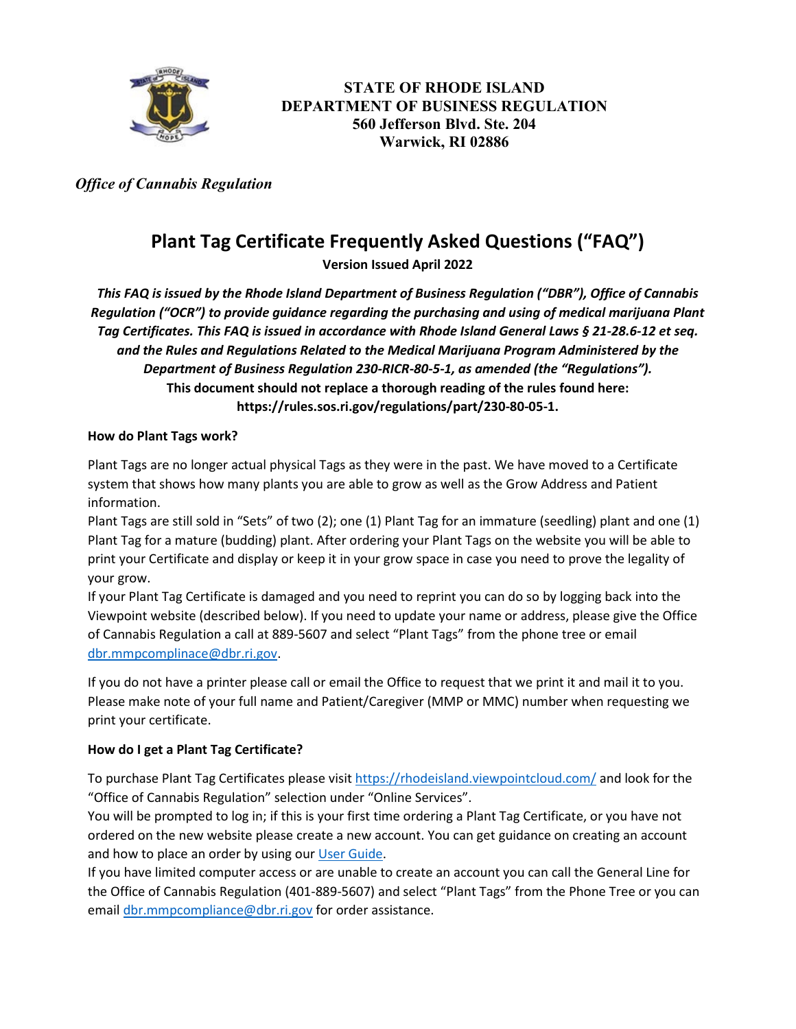

**STATE OF RHODE ISLAND DEPARTMENT OF BUSINESS REGULATION 560 Jefferson Blvd. Ste. 204 Warwick, RI 02886**

 *Office of Cannabis Regulation*

# **Plant Tag Certificate Frequently Asked Questions ("FAQ")**

**Version Issued April 2022**

*This FAQ is issued by the Rhode Island Department of Business Regulation ("DBR"), Office of Cannabis Regulation ("OCR") to provide guidance regarding the purchasing and using of medical marijuana Plant Tag Certificates. This FAQ is issued in accordance with Rhode Island General Laws § 21-28.6-12 et seq. and the Rules and Regulations Related to the Medical Marijuana Program Administered by the Department of Business Regulation 230-RICR-80-5-1, as amended (the "Regulations").*  **This document should not replace a thorough reading of the rules found here: https://rules.sos.ri.gov/regulations/part/230-80-05-1.**

### **How do Plant Tags work?**

Plant Tags are no longer actual physical Tags as they were in the past. We have moved to a Certificate system that shows how many plants you are able to grow as well as the Grow Address and Patient information.

Plant Tags are still sold in "Sets" of two (2); one (1) Plant Tag for an immature (seedling) plant and one (1) Plant Tag for a mature (budding) plant. After ordering your Plant Tags on the website you will be able to print your Certificate and display or keep it in your grow space in case you need to prove the legality of your grow.

If your Plant Tag Certificate is damaged and you need to reprint you can do so by logging back into the Viewpoint website (described below). If you need to update your name or address, please give the Office of Cannabis Regulation a call at 889-5607 and select "Plant Tags" from the phone tree or email [dbr.mmpcomplinace@dbr.ri.gov.](mailto:dbr.mmpcomplinace@dbr.ri.gov)

If you do not have a printer please call or email the Office to request that we print it and mail it to you. Please make note of your full name and Patient/Caregiver (MMP or MMC) number when requesting we print your certificate.

# **How do I get a Plant Tag Certificate?**

To purchase Plant Tag Certificates please visit <https://rhodeisland.viewpointcloud.com/> and look for the "Office of Cannabis Regulation" selection under "Online Services".

You will be prompted to log in; if this is your first time ordering a Plant Tag Certificate, or you have not ordered on the new website please create a new account. You can get guidance on creating an account and how to place an order by using our [User Guide.](https://dbr.ri.gov/documents/divisions/medicalmarijuana/Plant_Tag_User_Guide_22.pdf)

If you have limited computer access or are unable to create an account you can call the General Line for the Office of Cannabis Regulation (401-889-5607) and select "Plant Tags" from the Phone Tree or you can emai[l dbr.mmpcompliance@dbr.ri.gov](mailto:dbr.mmpcompliance@dbr.ri.gov) for order assistance.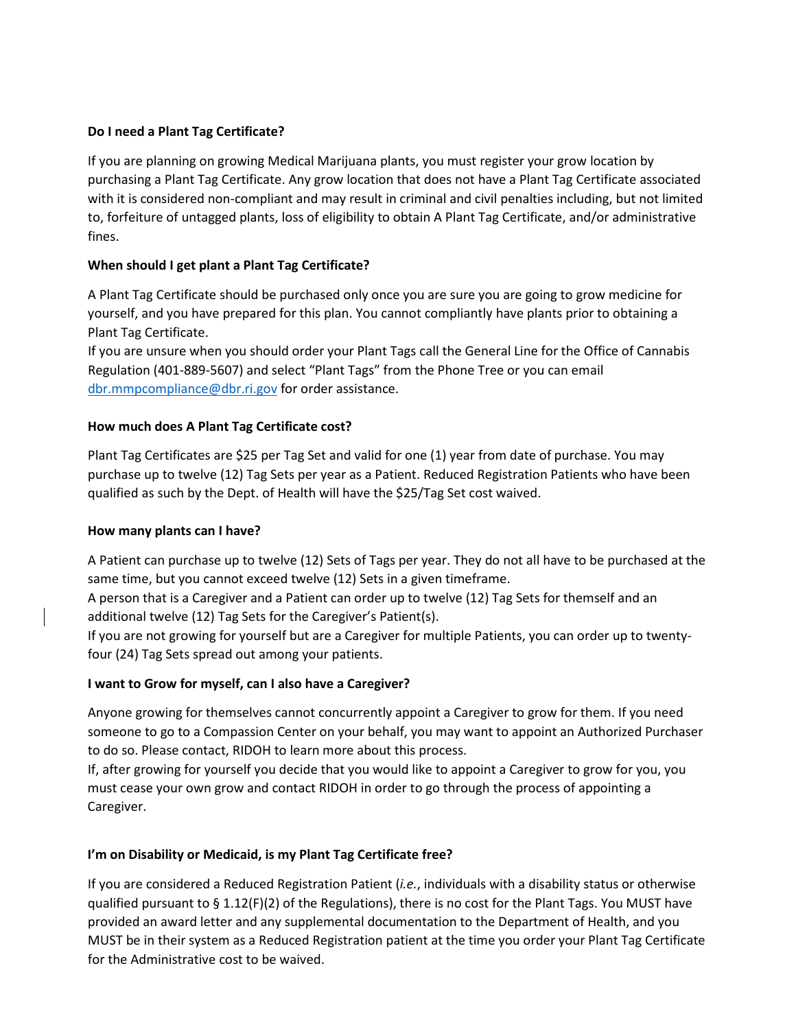# **Do I need a Plant Tag Certificate?**

If you are planning on growing Medical Marijuana plants, you must register your grow location by purchasing a Plant Tag Certificate. Any grow location that does not have a Plant Tag Certificate associated with it is considered non-compliant and may result in criminal and civil penalties including, but not limited to, forfeiture of untagged plants, loss of eligibility to obtain A Plant Tag Certificate, and/or administrative fines.

## **When should I get plant a Plant Tag Certificate?**

A Plant Tag Certificate should be purchased only once you are sure you are going to grow medicine for yourself, and you have prepared for this plan. You cannot compliantly have plants prior to obtaining a Plant Tag Certificate.

If you are unsure when you should order your Plant Tags call the General Line for the Office of Cannabis Regulation (401-889-5607) and select "Plant Tags" from the Phone Tree or you can email [dbr.mmpcompliance@dbr.ri.gov](mailto:dbr.mmpcompliance@dbr.ri.gov) for order assistance.

### **How much does A Plant Tag Certificate cost?**

Plant Tag Certificates are \$25 per Tag Set and valid for one (1) year from date of purchase. You may purchase up to twelve (12) Tag Sets per year as a Patient. Reduced Registration Patients who have been qualified as such by the Dept. of Health will have the \$25/Tag Set cost waived.

#### **How many plants can I have?**

A Patient can purchase up to twelve (12) Sets of Tags per year. They do not all have to be purchased at the same time, but you cannot exceed twelve (12) Sets in a given timeframe.

A person that is a Caregiver and a Patient can order up to twelve (12) Tag Sets for themself and an additional twelve (12) Tag Sets for the Caregiver's Patient(s).

If you are not growing for yourself but are a Caregiver for multiple Patients, you can order up to twentyfour (24) Tag Sets spread out among your patients.

# **I want to Grow for myself, can I also have a Caregiver?**

Anyone growing for themselves cannot concurrently appoint a Caregiver to grow for them. If you need someone to go to a Compassion Center on your behalf, you may want to appoint an Authorized Purchaser to do so. Please contact, RIDOH to learn more about this process.

If, after growing for yourself you decide that you would like to appoint a Caregiver to grow for you, you must cease your own grow and contact RIDOH in order to go through the process of appointing a Caregiver.

# **I'm on Disability or Medicaid, is my Plant Tag Certificate free?**

If you are considered a Reduced Registration Patient (*i.e.*, individuals with a disability status or otherwise qualified pursuant to § 1.12(F)(2) of the Regulations), there is no cost for the Plant Tags. You MUST have provided an award letter and any supplemental documentation to the Department of Health, and you MUST be in their system as a Reduced Registration patient at the time you order your Plant Tag Certificate for the Administrative cost to be waived.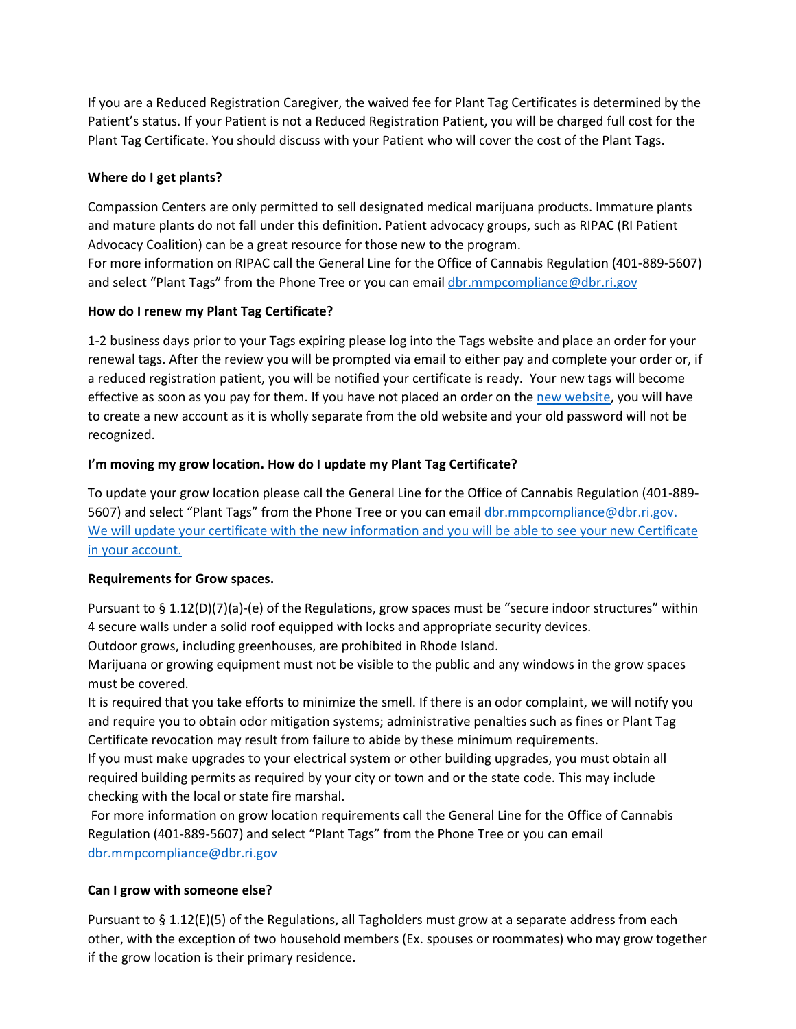If you are a Reduced Registration Caregiver, the waived fee for Plant Tag Certificates is determined by the Patient's status. If your Patient is not a Reduced Registration Patient, you will be charged full cost for the Plant Tag Certificate. You should discuss with your Patient who will cover the cost of the Plant Tags.

## **Where do I get plants?**

Compassion Centers are only permitted to sell designated medical marijuana products. Immature plants and mature plants do not fall under this definition. Patient advocacy groups, such as RIPAC (RI Patient Advocacy Coalition) can be a great resource for those new to the program.

For more information on RIPAC call the General Line for the Office of Cannabis Regulation (401-889-5607) and select "Plant Tags" from the Phone Tree or you can emai[l dbr.mmpcompliance@dbr.ri.gov](mailto:dbr.mmpcompliance@dbr.ri.gov)

### **How do I renew my Plant Tag Certificate?**

1-2 business days prior to your Tags expiring please log into the Tags website and place an order for your renewal tags. After the review you will be prompted via email to either pay and complete your order or, if a reduced registration patient, you will be notified your certificate is ready. Your new tags will become effective as soon as you pay for them. If you have not placed an order on the [new website,](https://rhodeisland.viewpointcloud.com/) you will have to create a new account as it is wholly separate from the old website and your old password will not be recognized.

# **I'm moving my grow location. How do I update my Plant Tag Certificate?**

To update your grow location please call the General Line for the Office of Cannabis Regulation (401-889- 5607) and select "Plant Tags" from the Phone Tree or you can emai[l dbr.mmpcompliance@dbr.ri.gov.](mailto:dbr.mmpcompliance@dbr.ri.gov) We will update your certificate with the new information and you will be able to see your new Certificate in your account.

#### **Requirements for Grow spaces.**

Pursuant to  $\S 1.12(D)(7)(a)-(e)$  of the Regulations, grow spaces must be "secure indoor structures" within 4 secure walls under a solid roof equipped with locks and appropriate security devices.

Outdoor grows, including greenhouses, are prohibited in Rhode Island.

Marijuana or growing equipment must not be visible to the public and any windows in the grow spaces must be covered.

It is required that you take efforts to minimize the smell. If there is an odor complaint, we will notify you and require you to obtain odor mitigation systems; administrative penalties such as fines or Plant Tag Certificate revocation may result from failure to abide by these minimum requirements.

If you must make upgrades to your electrical system or other building upgrades, you must obtain all required building permits as required by your city or town and or the state code. This may include checking with the local or state fire marshal.

For more information on grow location requirements call the General Line for the Office of Cannabis Regulation (401-889-5607) and select "Plant Tags" from the Phone Tree or you can email [dbr.mmpcompliance@dbr.ri.gov](mailto:dbr.mmpcompliance@dbr.ri.gov)

# **Can I grow with someone else?**

Pursuant to § 1.12(E)(5) of the Regulations, all Tagholders must grow at a separate address from each other, with the exception of two household members (Ex. spouses or roommates) who may grow together if the grow location is their primary residence.